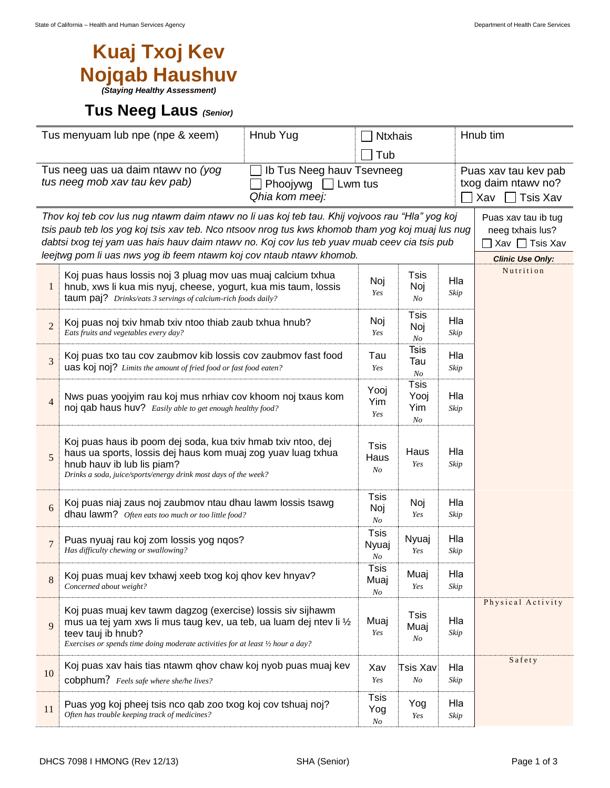## **Kuaj Txoj Kev Nojqab Haushuv**

*(Staying Healthy Assessment)*

## **Tus Neeg Laus** *(Senior)*

| Tus menyuam lub npe (npe & xeem)<br>Hnub Yug                                                                                              |                                                                                                                                                                                                                                                                                                                                                                  | <b>Ntxhais</b>                        |                                              |             | Hnub tim                                                              |  |  |
|-------------------------------------------------------------------------------------------------------------------------------------------|------------------------------------------------------------------------------------------------------------------------------------------------------------------------------------------------------------------------------------------------------------------------------------------------------------------------------------------------------------------|---------------------------------------|----------------------------------------------|-------------|-----------------------------------------------------------------------|--|--|
|                                                                                                                                           |                                                                                                                                                                                                                                                                                                                                                                  | Tub                                   |                                              |             |                                                                       |  |  |
| Tus neeg uas ua daim ntawy no (yog<br>Ib Tus Neeg hauv Tsevneeg<br>tus neeg mob xav tau kev pab)<br>Phoojywg<br>Lwm tus<br>Qhia kom meej: |                                                                                                                                                                                                                                                                                                                                                                  |                                       |                                              |             | Puas xav tau kev pab<br>txog daim ntawy no?<br><b>Tsis Xav</b><br>Xav |  |  |
|                                                                                                                                           | Thov koj teb cov lus nug ntawm daim ntawv no li uas koj teb tau. Khij vojvoos rau "Hla" yog koj<br>Puas xav tau ib tug<br>tsis paub teb los yog koj tsis xav teb. Nco ntsoov nrog tus kws khomob tham yog koj muaj lus nug<br>neeg txhais lus?<br>dabtsi txog tej yam uas hais hauv daim ntawv no. Koj cov lus teb yuav muab ceev cia tsis pub<br>Xav □ Tsis Xav |                                       |                                              |             |                                                                       |  |  |
|                                                                                                                                           | leejtwg pom li uas nws yog ib feem ntawm koj cov ntaub ntawv khomob.<br><b>Clinic Use Only:</b>                                                                                                                                                                                                                                                                  |                                       |                                              |             |                                                                       |  |  |
| 1                                                                                                                                         | Koj puas haus lossis noj 3 pluag mov uas muaj calcium txhua<br>hnub, xws li kua mis nyuj, cheese, yogurt, kua mis taum, lossis<br>taum paj? Drinks/eats 3 servings of calcium-rich foods daily?                                                                                                                                                                  | Noj<br>Yes                            | Tsis<br>Noj<br>No                            | Hla<br>Skip | Nutrition                                                             |  |  |
| $\overline{2}$                                                                                                                            | Koj puas noj txiv hmab txiv ntoo thiab zaub txhua hnub?<br>Eats fruits and vegetables every day?                                                                                                                                                                                                                                                                 | Noj<br>Yes                            | Tsis<br>Noj<br>N <sub>O</sub>                | Hla<br>Skip |                                                                       |  |  |
| 3                                                                                                                                         | Koj puas txo tau cov zaubmov kib lossis cov zaubmov fast food<br>uas koj noj? Limits the amount of fried food or fast food eaten?                                                                                                                                                                                                                                | Tau<br>Yes                            | <b>Tsis</b><br>Tau<br>N <sub>O</sub>         | Hla<br>Skip |                                                                       |  |  |
| $\overline{4}$                                                                                                                            | Nws puas yoojyim rau koj mus nrhiav cov khoom noj txaus kom<br>noj qab haus huv? Easily able to get enough healthy food?                                                                                                                                                                                                                                         | Yooj<br>Yim<br>Yes                    | <b>Tsis</b><br>Yooj<br>Yim<br>N <sub>O</sub> | Hla<br>Skip |                                                                       |  |  |
| 5                                                                                                                                         | Koj puas haus ib poom dej soda, kua txiv hmab txiv ntoo, dej<br>haus ua sports, lossis dej haus kom muaj zog yuav luag txhua<br>hnub hauv ib lub lis piam?<br>Drinks a soda, juice/sports/energy drink most days of the week?                                                                                                                                    | <b>Tsis</b><br>Haus<br>N <sub>O</sub> | Haus<br>Yes                                  | Hla<br>Skip |                                                                       |  |  |
| 6                                                                                                                                         | Koj puas niaj zaus noj zaubmov ntau dhau lawm lossis tsawg<br>dhau lawm? Often eats too much or too little food?                                                                                                                                                                                                                                                 | <b>Tsis</b><br>Noj<br>$N_{O}$         | Noj<br>Yes                                   | Hla<br>Skip |                                                                       |  |  |
| $\overline{7}$                                                                                                                            | Puas nyuaj rau koj zom lossis yog ngos?<br>Has difficulty chewing or swallowing?                                                                                                                                                                                                                                                                                 | Tsis<br>Nyuaj<br>N <sub>O</sub>       | Nyuaj<br>Yes                                 | Hla<br>Skip |                                                                       |  |  |
| 8                                                                                                                                         | Koj puas muaj kev txhawj xeeb txog koj qhov kev hnyav?<br>Concerned about weight?                                                                                                                                                                                                                                                                                | Tsis<br>Muaj<br>N <sub>O</sub>        | Muaj<br>Yes                                  | Hla<br>Skip |                                                                       |  |  |
| 9                                                                                                                                         | Koj puas muaj kev tawm dagzog (exercise) lossis siv sijhawm<br>mus ua tej yam xws li mus taug kev, ua teb, ua luam dej ntev li 1/2<br>teev tauj ib hnub?<br>Exercises or spends time doing moderate activities for at least 1/2 hour a day?                                                                                                                      | Muaj<br>Yes                           | <b>Tsis</b><br>Muaj<br>No                    | Hla<br>Skip | Physical Activity                                                     |  |  |
| 10                                                                                                                                        | Koj puas xav hais tias ntawm qhov chaw koj nyob puas muaj kev<br>cobphum? Feels safe where she/he lives?                                                                                                                                                                                                                                                         | Xav<br>Yes                            | Tsis Xav<br>N <sub>O</sub>                   | Hla<br>Skip | Safety                                                                |  |  |
| 11                                                                                                                                        | Puas yog koj pheej tsis nco qab zoo txog koj cov tshuaj noj?<br>Often has trouble keeping track of medicines?                                                                                                                                                                                                                                                    | <b>Tsis</b><br>Yog<br>No              | Yog<br>Yes                                   | Hla<br>Skip |                                                                       |  |  |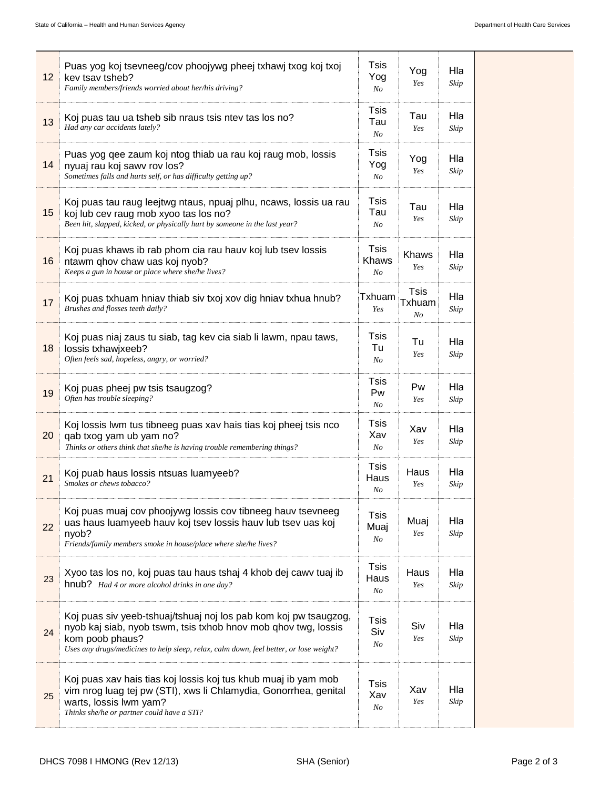| 12 | Puas yog koj tsevneeg/cov phoojywg pheej txhawj txog koj txoj<br>kev tsav tsheb?<br>Family members/friends worried about her/his driving?                                                                                                       | <b>Tsis</b><br>Yog<br>$N_{O}$          | Yog<br>Yes                  | Hla<br>Skip |
|----|-------------------------------------------------------------------------------------------------------------------------------------------------------------------------------------------------------------------------------------------------|----------------------------------------|-----------------------------|-------------|
| 13 | Koj puas tau ua tsheb sib nraus tsis ntev tas los no?<br>Had any car accidents lately?                                                                                                                                                          | Tsis<br>Tau<br>No                      | Tau<br>Yes                  | Hla<br>Skip |
| 14 | Puas yog qee zaum koj ntog thiab ua rau koj raug mob, lossis<br>nyuaj rau koj sawv rov los?<br>Sometimes falls and hurts self, or has difficulty getting up?                                                                                    | Tsis<br>Yog<br>No                      | Yog<br>Yes                  | Hla<br>Skip |
| 15 | Koj puas tau raug leejtwg ntaus, npuaj plhu, ncaws, lossis ua rau<br>koj lub cev raug mob xyoo tas los no?<br>Been hit, slapped, kicked, or physically hurt by someone in the last year?                                                        | Tsis<br>Tau<br>N <sub>O</sub>          | Tau<br>Yes                  | Hla<br>Skip |
| 16 | Koj puas khaws ib rab phom cia rau hauv koj lub tsev lossis<br>ntawm qhov chaw uas koj nyob?<br>Keeps a gun in house or place where she/he lives?                                                                                               | <b>Tsis</b><br>Khaws<br>N <sub>O</sub> | Khaws<br>Yes                | Hla<br>Skip |
| 17 | Koj puas txhuam hniav thiab siv txoj xov dig hniav txhua hnub?<br>Brushes and flosses teeth daily?                                                                                                                                              | Txhuam<br>Yes                          | <b>Tsis</b><br>Txhuam<br>No | Hla<br>Skip |
| 18 | Koj puas niaj zaus tu siab, tag kev cia siab li lawm, npau taws,<br>lossis txhawjxeeb?<br>Often feels sad, hopeless, angry, or worried?                                                                                                         | Tsis<br>Tu<br>No                       | Tu<br>Yes                   | Hla<br>Skip |
| 19 | Koj puas pheej pw tsis tsaugzog?<br>Often has trouble sleeping?                                                                                                                                                                                 | Tsis<br>Pw<br>No                       | Pw<br>Yes                   | Hla<br>Skip |
| 20 | Koj lossis Iwm tus tibneeg puas xav hais tias koj pheej tsis nco<br>qab txog yam ub yam no?<br>Thinks or others think that she/he is having trouble remembering things?                                                                         | Tsis<br>Xav<br>$N_{O}$                 | Xav<br>Yes                  | Hla<br>Skip |
| 21 | Koj puab haus lossis ntsuas luamyeeb?<br>Smokes or chews tobacco?                                                                                                                                                                               | Tsis<br>Haus<br>No                     | Haus<br>Yes                 | Hla<br>Skip |
| 22 | Koj puas muaj cov phoojywg lossis cov tibneeg hauv tsevneeg<br>uas haus luamyeeb hauv koj tsev lossis hauv lub tsev uas koj<br>nyob?<br>Friends/family members smoke in house/place where she/he lives?                                         | <b>Tsis</b><br>Muaj<br>$N_{O}$         | Muaj<br>Yes                 | Hla<br>Skip |
| 23 | Xyoo tas los no, koj puas tau haus tshaj 4 khob dej cawv tuaj ib<br>hnub? Had 4 or more alcohol drinks in one day?                                                                                                                              | <b>Tsis</b><br>Haus<br>N <sub>O</sub>  | Haus<br>Yes                 | Hla<br>Skip |
| 24 | Koj puas siv yeeb-tshuaj/tshuaj noj los pab kom koj pw tsaugzog,<br>nyob kaj siab, nyob tswm, tsis txhob hnov mob qhov twg, lossis<br>kom poob phaus?<br>Uses any drugs/medicines to help sleep, relax, calm down, feel better, or lose weight? | Tsis<br>Siv<br>N <sub>O</sub>          | Siv<br>Yes                  | Hla<br>Skip |
| 25 | Koj puas xav hais tias koj lossis koj tus khub muaj ib yam mob<br>vim nrog luag tej pw (STI), xws li Chlamydia, Gonorrhea, genital<br>warts, lossis lwm yam?<br>Thinks she/he or partner could have a STI?                                      | Tsis<br>Xav<br>No                      | Xav<br>Yes                  | Hla<br>Skip |